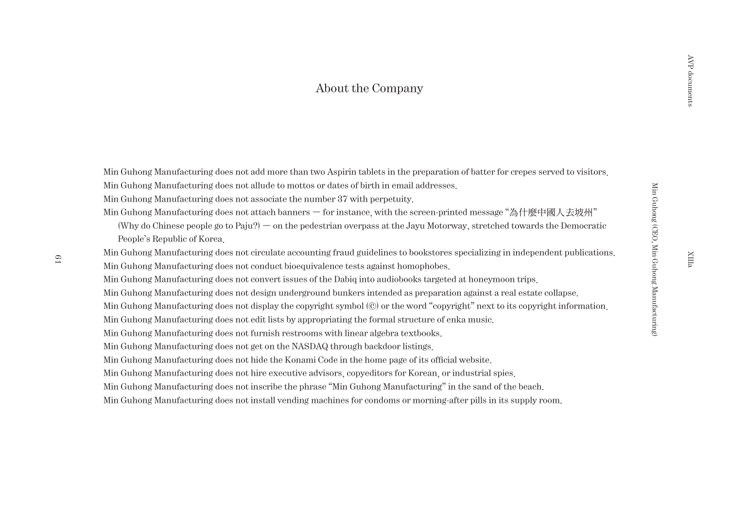## About the Company

Min Guhong Manufacturing does not add more than two Aspirin tablets in the preparation of batter for crepes served to visitors.

Min Guhong Manufacturing does not allude to mottos or dates of birth in email addresses.

Min Guhong Manufacturing does not associate the number 37 with perpetuity.

Min Guhong Manufacturing does not attach banners — for instance, with the screen-printed message "為什麼中國人去坡州"

(Why do Chinese people go to Paju?) — on the pedestrian overpass at the Jayu Motorway, stretched towards the Democratic People's Republic of Korea.

Min Guhong Manufacturing does not circulate accounting fraud guidelines to bookstores specializing in independent publications. Min Guhong Manufacturing does not conduct bioequivalence tests against homophobes.

Min Guhong Manufacturing does not convert issues of the Dabiq into audiobooks targeted at honeymoon trips.

Min Guhong Manufacturing does not design underground bunkers intended as preparation against a real estate collapse.

Min Guhong Manufacturing does not display the copyright symbol (©) or the word "copyright" next to its copyright information.

Min Guhong Manufacturing does not edit lists by appropriating the formal structure of enka music.

Min Guhong Manufacturing does not furnish restrooms with linear algebra textbooks.

Min Guhong Manufacturing does not get on the NASDAQ through backdoor listings.

Min Guhong Manufacturing does not hide the Konami Code in the home page of its official website.

Min Guhong Manufacturing does not hire executive advisors, copyeditors for Korean, or industrial spies.

Min Guhong Manufacturing does not inscribe the phrase "Min Guhong Manufacturing" in the sand of the beach.

Min Guhong Manufacturing does not install vending machines for condoms or morning-after pills in its supply room.

XIIIa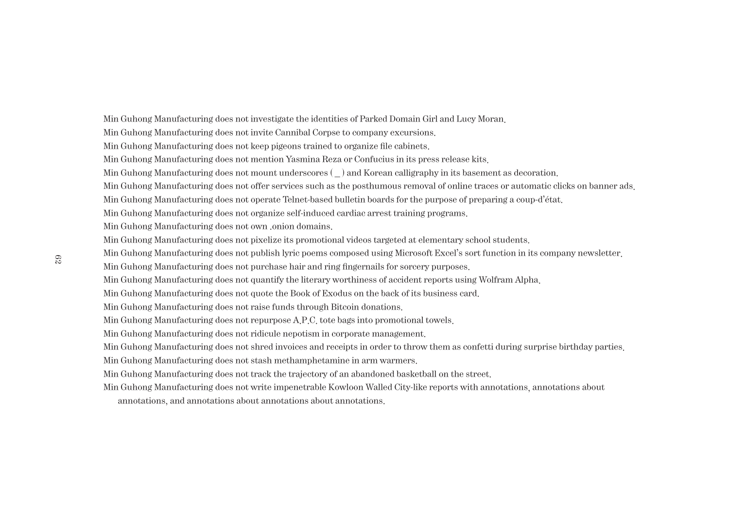Min Guhong Manufacturing does not investigate the identities of Parked Domain Girl and Lucy Moran. Min Guhong Manufacturing does not invite Cannibal Corpse to company excursions. Min Guhong Manufacturing does not keep pigeons trained to organize file cabinets. Min Guhong Manufacturing does not mention Yasmina Reza or Confucius in its press release kits. Min Guhong Manufacturing does not mount underscores ( $\Box$ ) and Korean calligraphy in its basement as decoration. Min Guhong Manufacturing does not offer services such as the posthumous removal of online traces or automatic clicks on banner ads. Min Guhong Manufacturing does not operate Telnet-based bulletin boards for the purpose of preparing a coup-d'état. Min Guhong Manufacturing does not organize self-induced cardiac arrest training programs. Min Guhong Manufacturing does not own .onion domains. Min Guhong Manufacturing does not pixelize its promotional videos targeted at elementary school students. Min Guhong Manufacturing does not publish lyric poems composed using Microsoft Excel's sort function in its company newsletter. Min Guhong Manufacturing does not purchase hair and ring fingernails for sorcery purposes. Min Guhong Manufacturing does not quantify the literary worthiness of accident reports using Wolfram Alpha. Min Guhong Manufacturing does not quote the Book of Exodus on the back of its business card. Min Guhong Manufacturing does not raise funds through Bitcoin donations. Min Guhong Manufacturing does not repurpose A.P.C. tote bags into promotional towels. Min Guhong Manufacturing does not ridicule nepotism in corporate management. Min Guhong Manufacturing does not shred invoices and receipts in order to throw them as confetti during surprise birthday parties. Min Guhong Manufacturing does not stash methamphetamine in arm warmers. Min Guhong Manufacturing does not track the trajectory of an abandoned basketball on the street.

Min Guhong Manufacturing does not write impenetrable Kowloon Walled City-like reports with annotations, annotations about

annotations, and annotations about annotations about annotations.